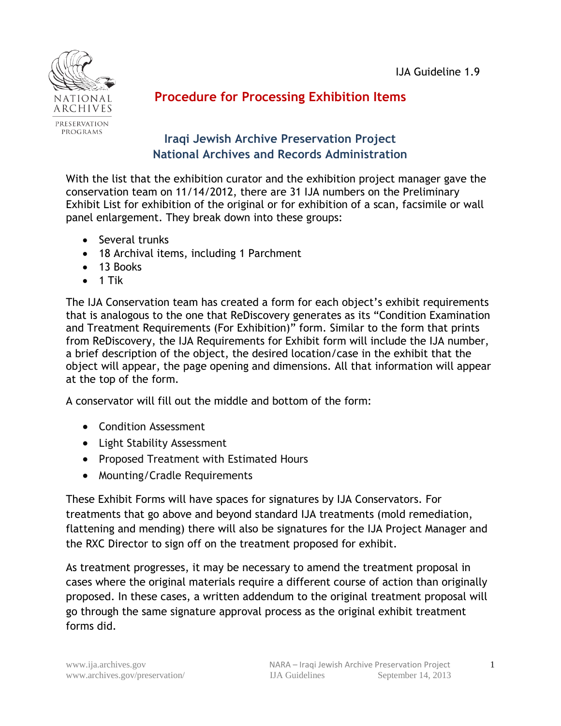

# **Procedure for Processing Exhibition Items**

## **Iraqi Jewish Archive Preservation Project National Archives and Records Administration**

With the list that the exhibition curator and the exhibition project manager gave the conservation team on 11/14/2012, there are 31 IJA numbers on the Preliminary Exhibit List for exhibition of the original or for exhibition of a scan, facsimile or wall panel enlargement. They break down into these groups:

- Several trunks
- 18 Archival items, including 1 Parchment
- 13 Books
- $\bullet$  1 Tik

The IJA Conservation team has created a form for each object's exhibit requirements that is analogous to the one that ReDiscovery generates as its "Condition Examination and Treatment Requirements (For Exhibition)" form. Similar to the form that prints from ReDiscovery, the IJA Requirements for Exhibit form will include the IJA number, a brief description of the object, the desired location/case in the exhibit that the object will appear, the page opening and dimensions. All that information will appear at the top of the form.

A conservator will fill out the middle and bottom of the form:

- Condition Assessment
- Light Stability Assessment
- Proposed Treatment with Estimated Hours
- Mounting/Cradle Requirements

These Exhibit Forms will have spaces for signatures by IJA Conservators. For treatments that go above and beyond standard IJA treatments (mold remediation, flattening and mending) there will also be signatures for the IJA Project Manager and the RXC Director to sign off on the treatment proposed for exhibit.

As treatment progresses, it may be necessary to amend the treatment proposal in cases where the original materials require a different course of action than originally proposed. In these cases, a written addendum to the original treatment proposal will go through the same signature approval process as the original exhibit treatment forms did.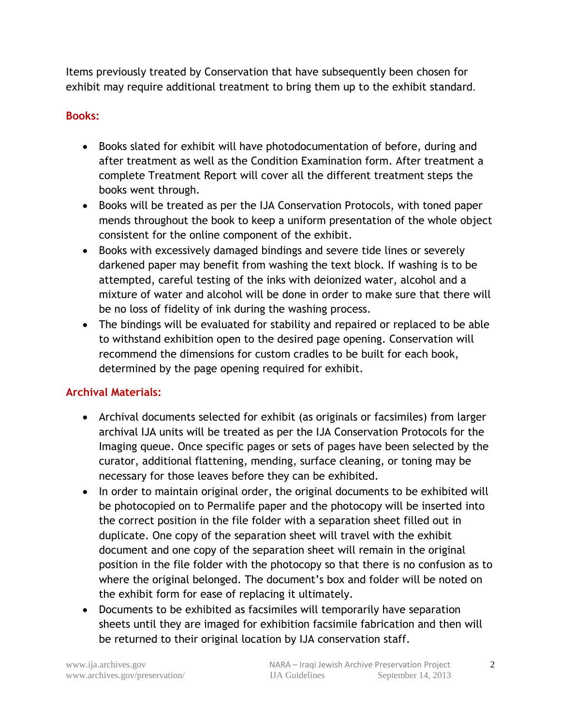Items previously treated by Conservation that have subsequently been chosen for exhibit may require additional treatment to bring them up to the exhibit standard.

### **Books:**

- Books slated for exhibit will have photodocumentation of before, during and after treatment as well as the Condition Examination form. After treatment a complete Treatment Report will cover all the different treatment steps the books went through.
- Books will be treated as per the IJA Conservation Protocols, with toned paper mends throughout the book to keep a uniform presentation of the whole object consistent for the online component of the exhibit.
- Books with excessively damaged bindings and severe tide lines or severely darkened paper may benefit from washing the text block. If washing is to be attempted, careful testing of the inks with deionized water, alcohol and a mixture of water and alcohol will be done in order to make sure that there will be no loss of fidelity of ink during the washing process.
- The bindings will be evaluated for stability and repaired or replaced to be able to withstand exhibition open to the desired page opening. Conservation will recommend the dimensions for custom cradles to be built for each book, determined by the page opening required for exhibit.

## **Archival Materials:**

- Archival documents selected for exhibit (as originals or facsimiles) from larger archival IJA units will be treated as per the IJA Conservation Protocols for the Imaging queue. Once specific pages or sets of pages have been selected by the curator, additional flattening, mending, surface cleaning, or toning may be necessary for those leaves before they can be exhibited.
- In order to maintain original order, the original documents to be exhibited will be photocopied on to Permalife paper and the photocopy will be inserted into the correct position in the file folder with a separation sheet filled out in duplicate. One copy of the separation sheet will travel with the exhibit document and one copy of the separation sheet will remain in the original position in the file folder with the photocopy so that there is no confusion as to where the original belonged. The document's box and folder will be noted on the exhibit form for ease of replacing it ultimately.
- Documents to be exhibited as facsimiles will temporarily have separation sheets until they are imaged for exhibition facsimile fabrication and then will be returned to their original location by IJA conservation staff.